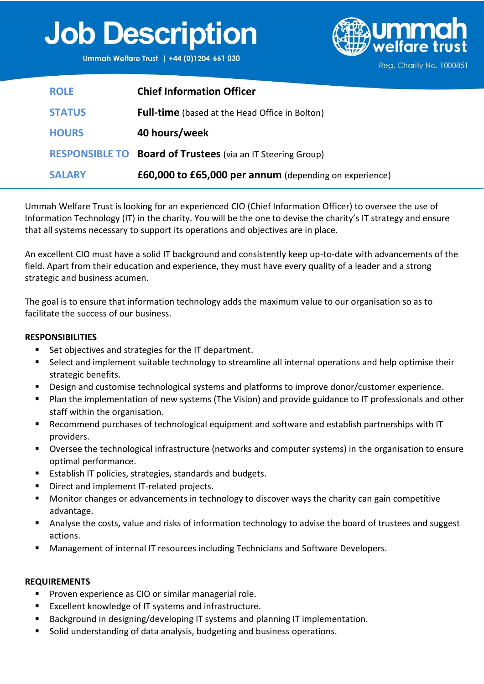## **Job Description**

Ummah Welfare Trust | +44 (0)1204 661 030



|  | Reg. Charity No. 1000851 |  |
|--|--------------------------|--|
|--|--------------------------|--|

| <b>ROLE</b>   | <b>Chief Information Officer</b>                                   |
|---------------|--------------------------------------------------------------------|
| <b>STATUS</b> | <b>Full-time</b> (based at the Head Office in Bolton)              |
| <b>HOURS</b>  | 40 hours/week                                                      |
|               | <b>RESPONSIBLE TO Board of Trustees</b> (via an IT Steering Group) |
| <b>SALARY</b> | £60,000 to £65,000 per annum (depending on experience)             |

Ummah Welfare Trust is looking for an experienced CIO (Chief Information Officer) to oversee the use of Information Technology (IT) in the charity. You will be the one to devise the charity's IT strategy and ensure that all systems necessary to support its operations and objectives are in place.

An excellent CIO must have a solid IT background and consistently keep up-to-date with advancements of the field. Apart from their education and experience, they must have every quality of a leader and a strong strategic and business acumen.

The goal is to ensure that information technology adds the maximum value to our organisation so as to facilitate the success of our business.

## **RESPONSIBILITIES**

- Set objectives and strategies for the IT department.
- Select and implement suitable technology to streamline all internal operations and help optimise their strategic benefits.
- Design and customise technological systems and platforms to improve donor/customer experience.
- Plan the implementation of new systems (The Vision) and provide guidance to IT professionals and other staff within the organisation.
- Recommend purchases of technological equipment and software and establish partnerships with IT providers.
- Oversee the technological infrastructure (networks and computer systems) in the organisation to ensure optimal performance.
- Establish IT policies, strategies, standards and budgets.
- Direct and implement IT-related projects.
- Monitor changes or advancements in technology to discover ways the charity can gain competitive advantage.
- Analyse the costs, value and risks of information technology to advise the board of trustees and suggest actions.
- Management of internal IT resources including Technicians and Software Developers.

## **REQUIREMENTS**

- Proven experience as CIO or similar managerial role.
- Excellent knowledge of IT systems and infrastructure.
- Background in designing/developing IT systems and planning IT implementation.
- Solid understanding of data analysis, budgeting and business operations.